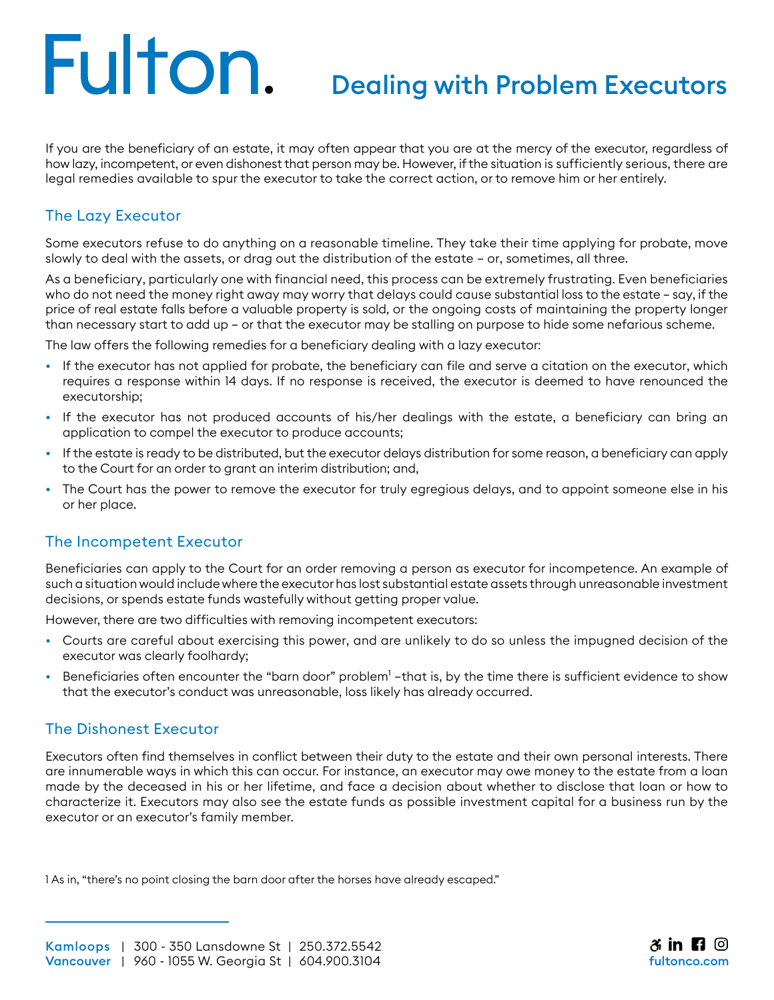# Fulton.

### Dealing with Problem Executors

If you are the beneficiary of an estate, it may often appear that you are at the mercy of the executor, regardless of how lazy, incompetent, or even dishonest that person may be. However, if the situation is sufficiently serious, there are legal remedies available to spur the executor to take the correct action, or to remove him or her entirely.

### The Lazy Executor

Some executors refuse to do anything on a reasonable timeline. They take their time applying for probate, move slowly to deal with the assets, or drag out the distribution of the estate – or, sometimes, all three.

As a beneficiary, particularly one with financial need, this process can be extremely frustrating. Even beneficiaries who do not need the money right away may worry that delays could cause substantial loss to the estate – say, if the price of real estate falls before a valuable property is sold, or the ongoing costs of maintaining the property longer than necessary start to add up – or that the executor may be stalling on purpose to hide some nefarious scheme.

The law offers the following remedies for a beneficiary dealing with a lazy executor:

- If the executor has not applied for probate, the beneficiary can file and serve a citation on the executor, which requires a response within 14 days. If no response is received, the executor is deemed to have renounced the executorship;
- If the executor has not produced accounts of his/her dealings with the estate, a beneficiary can bring an application to compel the executor to produce accounts;
- If the estate is ready to be distributed, but the executor delays distribution for some reason, a beneficiary can apply to the Court for an order to grant an interim distribution; and,
- The Court has the power to remove the executor for truly egregious delays, and to appoint someone else in his or her place.

### The Incompetent Executor

Beneficiaries can apply to the Court for an order removing a person as executor for incompetence. An example of such a situation would include where the executor has lost substantial estate assets through unreasonable investment decisions, or spends estate funds wastefully without getting proper value.

However, there are two difficulties with removing incompetent executors:

- Courts are careful about exercising this power, and are unlikely to do so unless the impugned decision of the executor was clearly foolhardy;
- Beneficiaries often encounter the "barn door" problem<sup>1</sup> –that is, by the time there is sufficient evidence to show that the executor's conduct was unreasonable, loss likely has already occurred.

### The Dishonest Executor

Executors often find themselves in conflict between their duty to the estate and their own personal interests. There are innumerable ways in which this can occur. For instance, an executor may owe money to the estate from a loan made by the deceased in his or her lifetime, and face a decision about whether to disclose that loan or how to characterize it. Executors may also see the estate funds as possible investment capital for a business run by the executor or an executor's family member.

1 As in, "there's no point closing the barn door after the horses have already escaped."